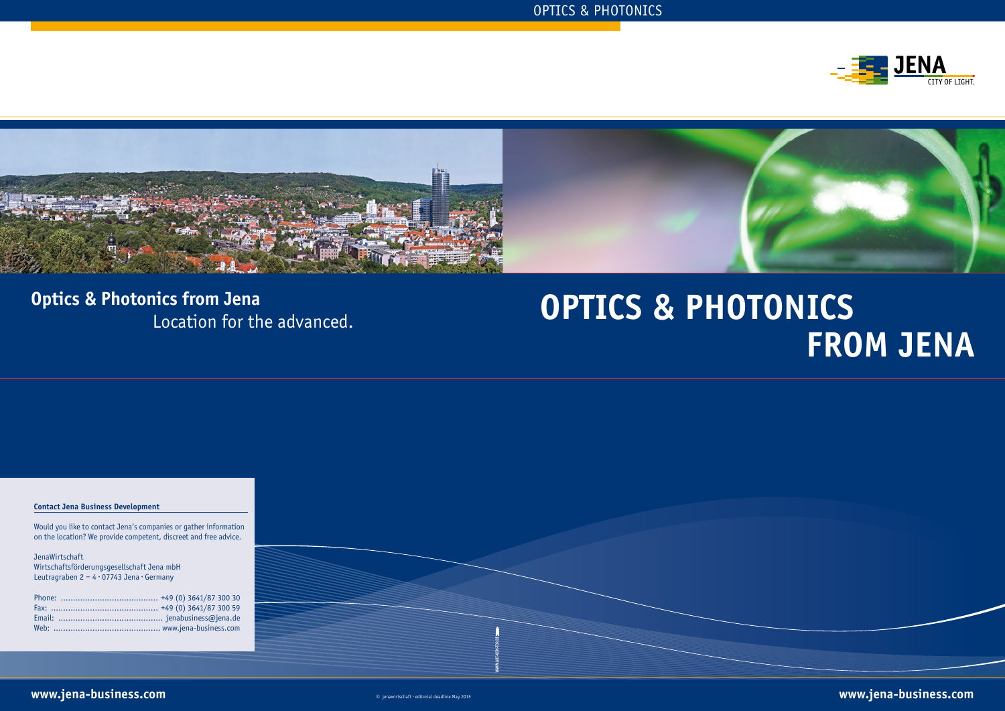# **OPTICS & PHOTONICS FROM JENA**

**www.jena-business.com** © jenawirtschaft · editorial deadline May 2015 **www.jena-business.com**

| <b>Contact Jena Business Development</b>                                                                                             |  |
|--------------------------------------------------------------------------------------------------------------------------------------|--|
| Would you like to contact Jena's companies or gather information<br>on the location? We provide competent, discreet and free advice. |  |
| JenaWirtschaft                                                                                                                       |  |
| Wirtschaftsförderungsgesellschaft Jena mbH<br>Leutragraben 2 - 4 · 07743 Jena · Germany                                              |  |
|                                                                                                                                      |  |
|                                                                                                                                      |  |
|                                                                                                                                      |  |





**Optics & Photonics from Jena** Location for the advanced.